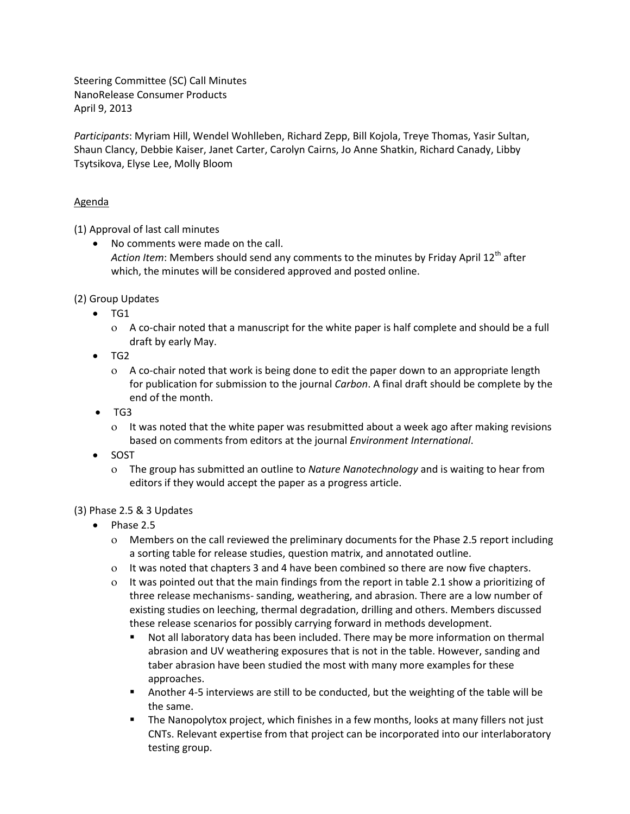Steering Committee (SC) Call Minutes NanoRelease Consumer Products April 9, 2013

*Participants*: Myriam Hill, Wendel Wohlleben, Richard Zepp, Bill Kojola, Treye Thomas, Yasir Sultan, Shaun Clancy, Debbie Kaiser, Janet Carter, Carolyn Cairns, Jo Anne Shatkin, Richard Canady, Libby Tsytsikova, Elyse Lee, Molly Bloom

## Agenda

(1) Approval of last call minutes

 No comments were made on the call. Action Item: Members should send any comments to the minutes by Friday April 12<sup>th</sup> after which, the minutes will be considered approved and posted online.

(2) Group Updates

- $\bullet$  TG1
	- A co-chair noted that a manuscript for the white paper is half complete and should be a full draft by early May.
- TG2
	- A co-chair noted that work is being done to edit the paper down to an appropriate length for publication for submission to the journal *Carbon*. A final draft should be complete by the end of the month.
- $\bullet$  TG3
	- It was noted that the white paper was resubmitted about a week ago after making revisions based on comments from editors at the journal *Environment International*.
- SOST
	- The group has submitted an outline to *Nature Nanotechnology* and is waiting to hear from editors if they would accept the paper as a progress article.

## (3) Phase 2.5 & 3 Updates

- $\bullet$  Phase 2.5
	- Members on the call reviewed the preliminary documents for the Phase 2.5 report including a sorting table for release studies, question matrix, and annotated outline.
	- It was noted that chapters 3 and 4 have been combined so there are now five chapters.
	- It was pointed out that the main findings from the report in table 2.1 show a prioritizing of three release mechanisms- sanding, weathering, and abrasion. There are a low number of existing studies on leeching, thermal degradation, drilling and others. Members discussed these release scenarios for possibly carrying forward in methods development.
		- Not all laboratory data has been included. There may be more information on thermal abrasion and UV weathering exposures that is not in the table. However, sanding and taber abrasion have been studied the most with many more examples for these approaches.
		- Another 4-5 interviews are still to be conducted, but the weighting of the table will be the same.
		- **The Nanopolytox project, which finishes in a few months, looks at many fillers not just** CNTs. Relevant expertise from that project can be incorporated into our interlaboratory testing group.